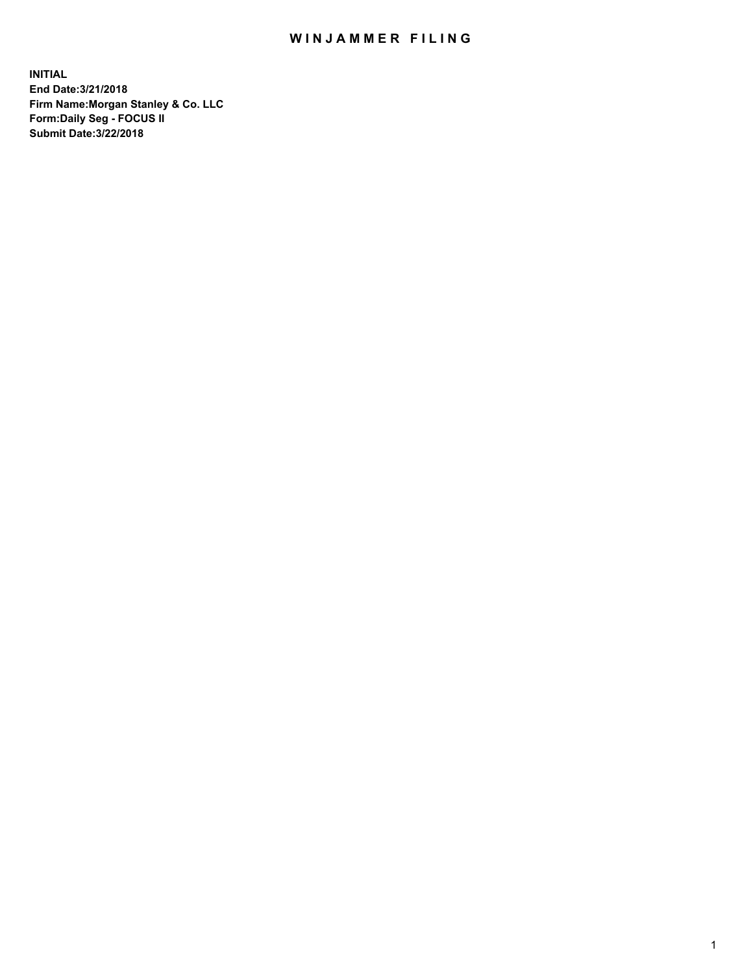## WIN JAMMER FILING

**INITIAL End Date:3/21/2018 Firm Name:Morgan Stanley & Co. LLC Form:Daily Seg - FOCUS II Submit Date:3/22/2018**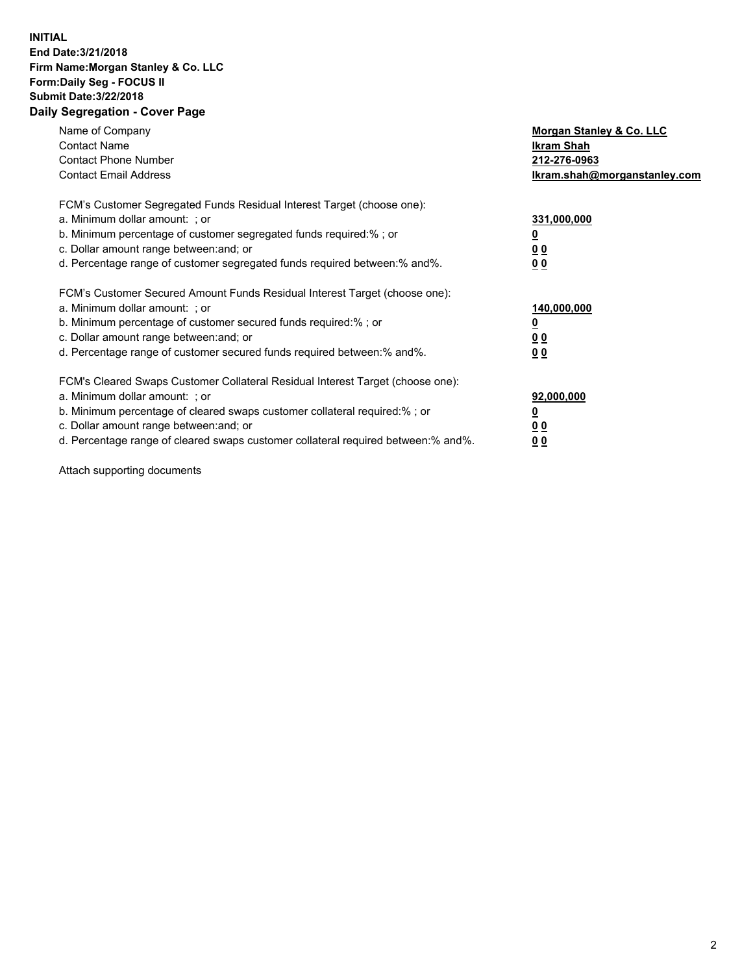## **INITIAL End Date:3/21/2018 Firm Name:Morgan Stanley & Co. LLC Form:Daily Seg - FOCUS II Submit Date:3/22/2018 Daily Segregation - Cover Page**

| Name of Company<br><b>Contact Name</b><br><b>Contact Phone Number</b><br><b>Contact Email Address</b>                                                                                                                                                                                                                         | Morgan Stanley & Co. LLC<br>Ikram Shah<br>212-276-0963<br>lkram.shah@morganstanley.com |
|-------------------------------------------------------------------------------------------------------------------------------------------------------------------------------------------------------------------------------------------------------------------------------------------------------------------------------|----------------------------------------------------------------------------------------|
| FCM's Customer Segregated Funds Residual Interest Target (choose one):<br>a. Minimum dollar amount: ; or<br>b. Minimum percentage of customer segregated funds required:%; or<br>c. Dollar amount range between: and; or<br>d. Percentage range of customer segregated funds required between:% and%.                         | 331,000,000<br>0 <sub>0</sub><br>00                                                    |
| FCM's Customer Secured Amount Funds Residual Interest Target (choose one):<br>a. Minimum dollar amount: ; or<br>b. Minimum percentage of customer secured funds required:%; or<br>c. Dollar amount range between: and; or<br>d. Percentage range of customer secured funds required between:% and%.                           | 140,000,000<br>0 <sub>0</sub><br>0 <sub>0</sub>                                        |
| FCM's Cleared Swaps Customer Collateral Residual Interest Target (choose one):<br>a. Minimum dollar amount: ; or<br>b. Minimum percentage of cleared swaps customer collateral required:%; or<br>c. Dollar amount range between: and; or<br>d. Percentage range of cleared swaps customer collateral required between:% and%. | 92,000,000<br>0 <sub>0</sub><br><u>00</u>                                              |

Attach supporting documents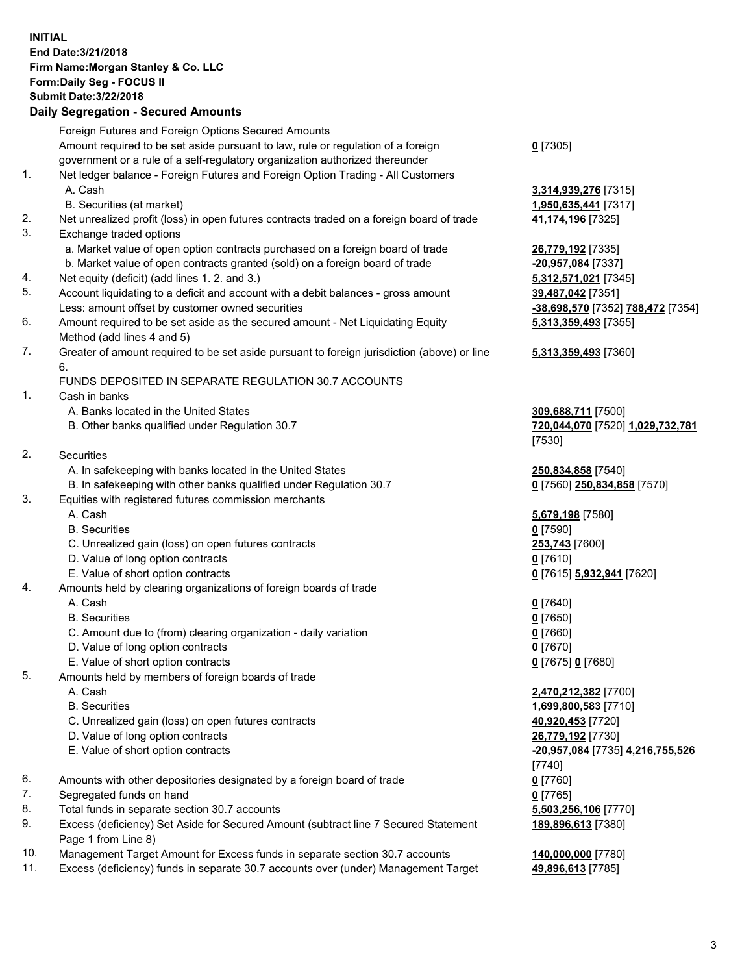## **INITIAL End Date:3/21/2018 Firm Name:Morgan Stanley & Co. LLC Form:Daily Seg - FOCUS II Submit Date:3/22/2018 Daily Segregation - Secured Amounts**

Foreign Futures and Foreign Options Secured Amounts Amount required to be set aside pursuant to law, rule or regulation of a foreign government or a rule of a self-regulatory organization authorized thereunder **0** [7305] 1. Net ledger balance - Foreign Futures and Foreign Option Trading - All Customers A. Cash **3,314,939,276** [7315] B. Securities (at market) **1,950,635,441** [7317] 2. Net unrealized profit (loss) in open futures contracts traded on a foreign board of trade **41,174,196** [7325] 3. Exchange traded options a. Market value of open option contracts purchased on a foreign board of trade **26,779,192** [7335] b. Market value of open contracts granted (sold) on a foreign board of trade **-20,957,084** [7337] 4. Net equity (deficit) (add lines 1. 2. and 3.) **5,312,571,021** [7345] 5. Account liquidating to a deficit and account with a debit balances - gross amount **39,487,042** [7351] Less: amount offset by customer owned securities **-38,698,570** [7352] **788,472** [7354] 6. Amount required to be set aside as the secured amount - Net Liquidating Equity Method (add lines 4 and 5) **5,313,359,493** [7355] 7. Greater of amount required to be set aside pursuant to foreign jurisdiction (above) or line 6. **5,313,359,493** [7360] FUNDS DEPOSITED IN SEPARATE REGULATION 30.7 ACCOUNTS 1. Cash in banks A. Banks located in the United States **309,688,711** [7500] B. Other banks qualified under Regulation 30.7 **720,044,070** [7520] **1,029,732,781** [7530] 2. Securities A. In safekeeping with banks located in the United States **250,834,858** [7540]<br>B. In safekeeping with other banks qualified under Regulation 30.7 **1998 1999 1999 17560 250,834,858** [7570] B. In safekeeping with other banks qualified under Regulation 30.7 3. Equities with registered futures commission merchants A. Cash **5,679,198** [7580] B. Securities **0** [7590] C. Unrealized gain (loss) on open futures contracts **253,743** [7600] D. Value of long option contracts **0** [7610] E. Value of short option contracts **0** [7615] **5,932,941** [7620] 4. Amounts held by clearing organizations of foreign boards of trade A. Cash **0** [7640] B. Securities **0** [7650] C. Amount due to (from) clearing organization - daily variation **0** [7660] D. Value of long option contracts **0** [7670] E. Value of short option contracts **0** [7675] **0** [7680] 5. Amounts held by members of foreign boards of trade A. Cash **2,470,212,382** [7700] B. Securities **1,699,800,583** [7710] C. Unrealized gain (loss) on open futures contracts **40,920,453** [7720] D. Value of long option contracts **26,779,192** [7730] E. Value of short option contracts **-20,957,084** [7735] **4,216,755,526** [7740] 6. Amounts with other depositories designated by a foreign board of trade **0** [7760] 7. Segregated funds on hand **0** [7765] 8. Total funds in separate section 30.7 accounts **5,503,256,106** [7770] 9. Excess (deficiency) Set Aside for Secured Amount (subtract line 7 Secured Statement Page 1 from Line 8) 10. Management Target Amount for Excess funds in separate section 30.7 accounts **140,000,000** [7780]

11. Excess (deficiency) funds in separate 30.7 accounts over (under) Management Target **49,896,613** [7785]

**189,896,613** [7380]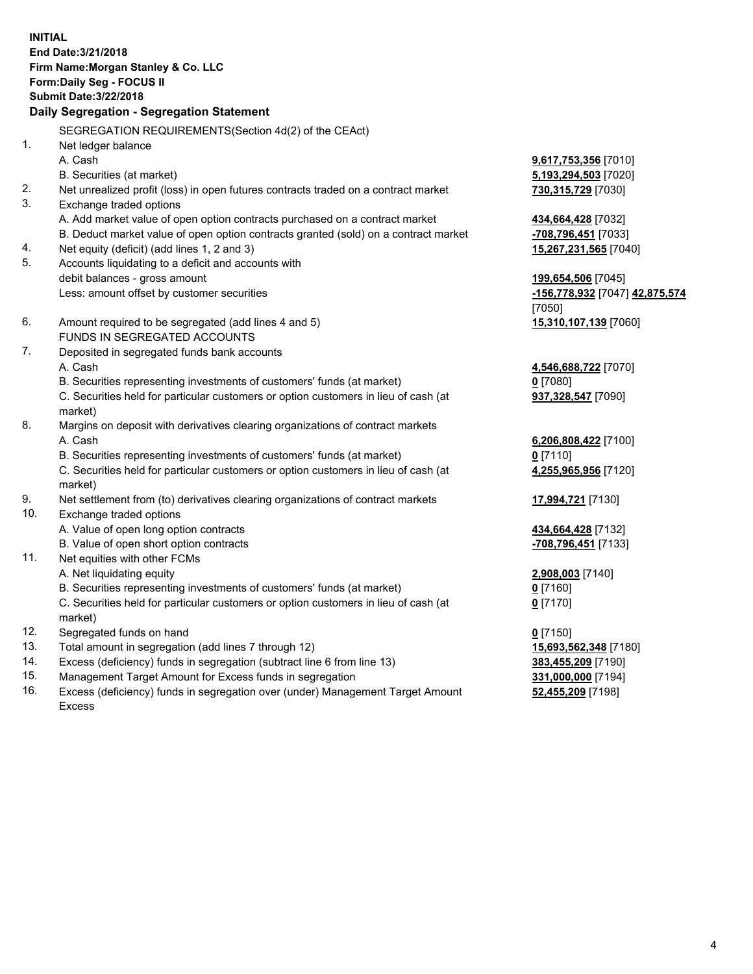**INITIAL End Date:3/21/2018 Firm Name:Morgan Stanley & Co. LLC Form:Daily Seg - FOCUS II Submit Date:3/22/2018 Daily Segregation - Segregation Statement** SEGREGATION REQUIREMENTS(Section 4d(2) of the CEAct) 1. Net ledger balance A. Cash **9,617,753,356** [7010] B. Securities (at market) **5,193,294,503** [7020] 2. Net unrealized profit (loss) in open futures contracts traded on a contract market **730,315,729** [7030] 3. Exchange traded options A. Add market value of open option contracts purchased on a contract market **434,664,428** [7032] B. Deduct market value of open option contracts granted (sold) on a contract market **-708,796,451** [7033] 4. Net equity (deficit) (add lines 1, 2 and 3) **15,267,231,565** [7040] 5. Accounts liquidating to a deficit and accounts with debit balances - gross amount **199,654,506** [7045] Less: amount offset by customer securities **-156,778,932** [7047] **42,875,574** [7050] 6. Amount required to be segregated (add lines 4 and 5) **15,310,107,139** [7060] FUNDS IN SEGREGATED ACCOUNTS 7. Deposited in segregated funds bank accounts A. Cash **4,546,688,722** [7070] B. Securities representing investments of customers' funds (at market) **0** [7080] C. Securities held for particular customers or option customers in lieu of cash (at market) **937,328,547** [7090] 8. Margins on deposit with derivatives clearing organizations of contract markets A. Cash **6,206,808,422** [7100] B. Securities representing investments of customers' funds (at market) **0** [7110] C. Securities held for particular customers or option customers in lieu of cash (at market) **4,255,965,956** [7120] 9. Net settlement from (to) derivatives clearing organizations of contract markets **17,994,721** [7130] 10. Exchange traded options A. Value of open long option contracts **434,664,428** [7132] B. Value of open short option contracts **-708,796,451** [7133] 11. Net equities with other FCMs A. Net liquidating equity **2,908,003** [7140] B. Securities representing investments of customers' funds (at market) **0** [7160] C. Securities held for particular customers or option customers in lieu of cash (at market) **0** [7170] 12. Segregated funds on hand **0** [7150] 13. Total amount in segregation (add lines 7 through 12) **15,693,562,348** [7180] 14. Excess (deficiency) funds in segregation (subtract line 6 from line 13) **383,455,209** [7190]

- 15. Management Target Amount for Excess funds in segregation **331,000,000** [7194]
- 16. Excess (deficiency) funds in segregation over (under) Management Target Amount Excess

**52,455,209** [7198]